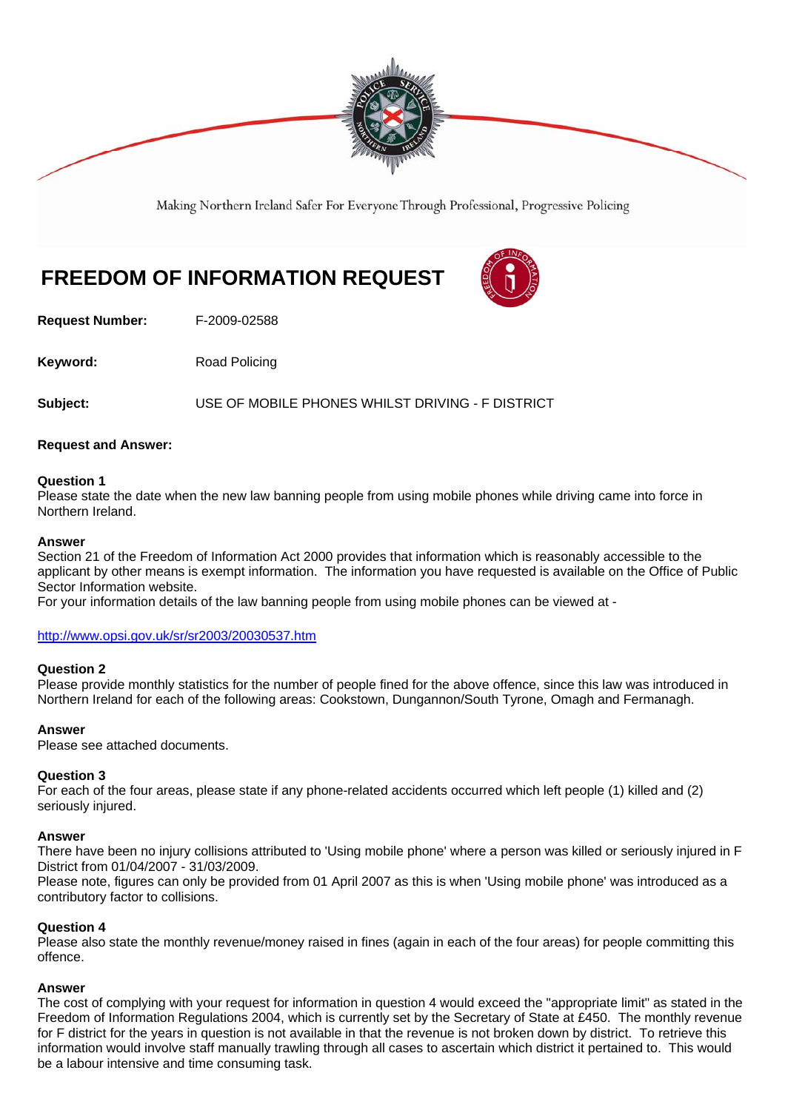

Making Northern Ireland Safer For Everyone Through Professional, Progressive Policing

# **FREEDOM OF INFORMATION REQUEST**

**Request Number:** F-2009-02588

**Keyword:** Road Policing

**Subject:** USE OF MOBILE PHONES WHILST DRIVING - F DISTRICT

### **Request and Answer:**

### **Question 1**

Please state the date when the new law banning people from using mobile phones while driving came into force in Northern Ireland.

### **Answer**

Section 21 of the Freedom of Information Act 2000 provides that information which is reasonably accessible to the applicant by other means is exempt information. The information you have requested is available on the Office of Public Sector Information website.

For your information details of the law banning people from using mobile phones can be viewed at -

### http://www.opsi.gov.uk/sr/sr2003/20030537.htm

#### **Question 2**

Please provide monthly statistics for the number of people fined for the above offence, since this law was introduced in Northern Ireland for each of the following areas: Cookstown, Dungannon/South Tyrone, Omagh and Fermanagh.

### **Answer**

Please see attached documents.

### **Question 3**

For each of the four areas, please state if any phone-related accidents occurred which left people (1) killed and (2) seriously injured.

#### **Answer**

There have been no injury collisions attributed to 'Using mobile phone' where a person was killed or seriously injured in F District from 01/04/2007 - 31/03/2009.

Please note, figures can only be provided from 01 April 2007 as this is when 'Using mobile phone' was introduced as a contributory factor to collisions.

#### **Question 4**

Please also state the monthly revenue/money raised in fines (again in each of the four areas) for people committing this offence.

#### **Answer**

The cost of complying with your request for information in question 4 would exceed the "appropriate limit" as stated in the Freedom of Information Regulations 2004, which is currently set by the Secretary of State at £450. The monthly revenue for F district for the years in question is not available in that the revenue is not broken down by district. To retrieve this information would involve staff manually trawling through all cases to ascertain which district it pertained to. This would be a labour intensive and time consuming task.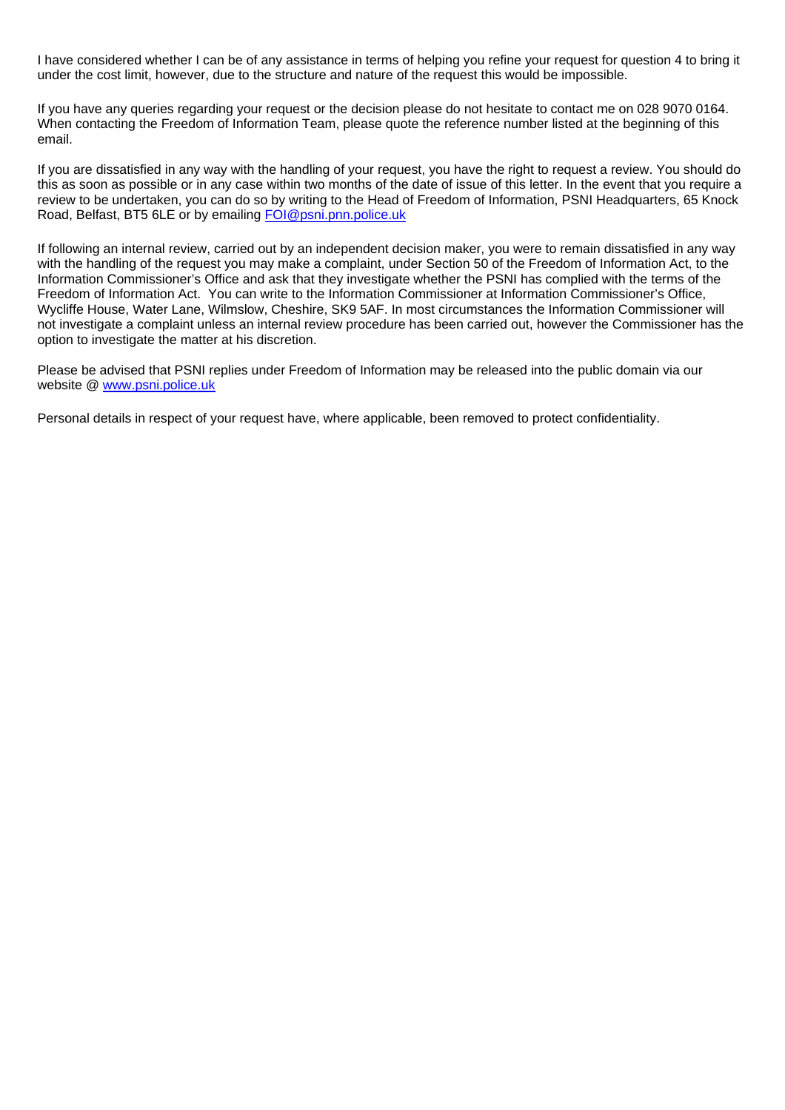I have considered whether I can be of any assistance in terms of helping you refine your request for question 4 to bring it under the cost limit, however, due to the structure and nature of the request this would be impossible.

If you have any queries regarding your request or the decision please do not hesitate to contact me on 028 9070 0164. When contacting the Freedom of Information Team, please quote the reference number listed at the beginning of this email.

If you are dissatisfied in any way with the handling of your request, you have the right to request a review. You should do this as soon as possible or in any case within two months of the date of issue of this letter. In the event that you require a review to be undertaken, you can do so by writing to the Head of Freedom of Information, PSNI Headquarters, 65 Knock Road, Belfast, BT5 6LE or by emailing FOI@psni.pnn.police.uk

If following an internal review, carried out by an independent decision maker, you were to remain dissatisfied in any way with the handling of the request you may make a complaint, under Section 50 of the Freedom of Information Act, to the Information Commissioner's Office and ask that they investigate whether the PSNI has complied with the terms of the Freedom of Information Act. You can write to the Information Commissioner at Information Commissioner's Office, Wycliffe House, Water Lane, Wilmslow, Cheshire, SK9 5AF. In most circumstances the Information Commissioner will not investigate a complaint unless an internal review procedure has been carried out, however the Commissioner has the option to investigate the matter at his discretion.

Please be advised that PSNI replies under Freedom of Information may be released into the public domain via our website @ www.psni.police.uk

Personal details in respect of your request have, where applicable, been removed to protect confidentiality.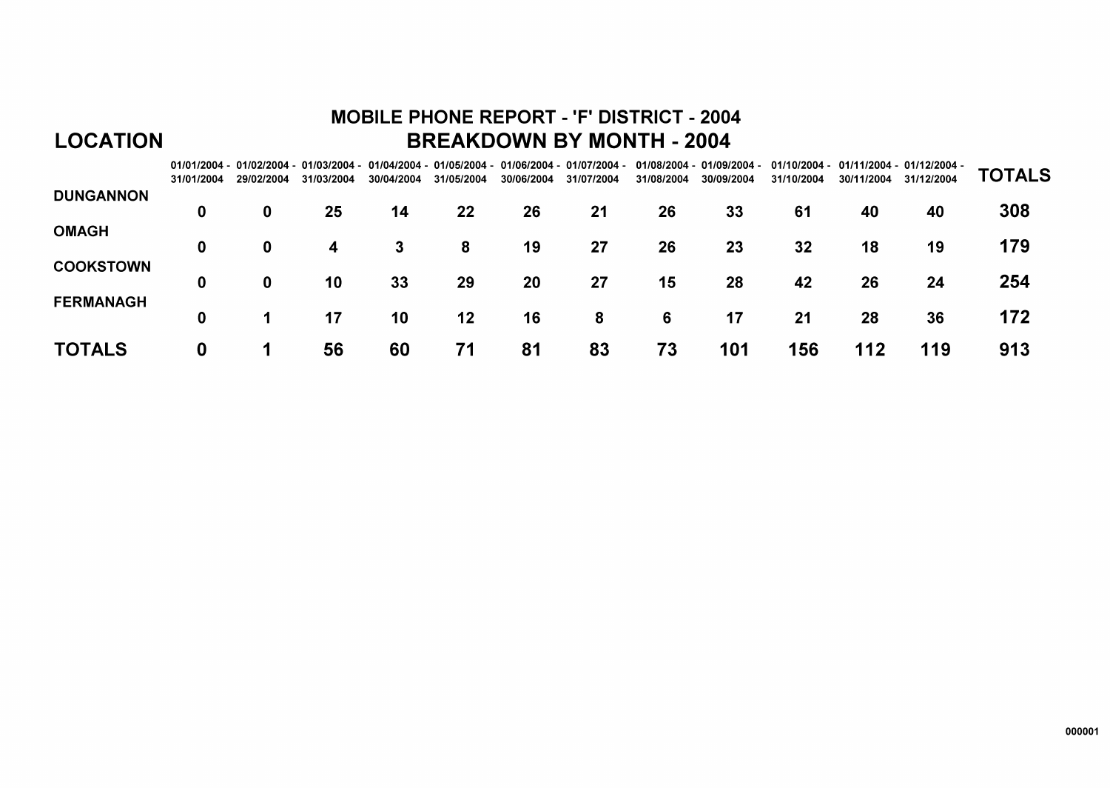# **MOBILE PHONE REPORT - 'F' DISTRICT - 2004 BREAKDOWN BY MONTH - 2004**

|                  | 31/01/2004 | 29/02/2004 | 31/03/2004 | 30/04/2004 | 31/05/2004 | 30/06/2004 | $01/01/2004 - 01/02/2004 - 01/03/2004 - 01/04/2004 - 01/05/2004 - 01/06/2004 - 01/07/2004 -$<br>31/07/2004 | 31/08/2004 | 01/08/2004 - 01/09/2004 -<br>30/09/2004 | 31/10/2004 | 30/11/2004 | 01/10/2004 - 01/11/2004 - 01/12/2004 -<br>31/12/2004 | <b>TOTALS</b> |
|------------------|------------|------------|------------|------------|------------|------------|------------------------------------------------------------------------------------------------------------|------------|-----------------------------------------|------------|------------|------------------------------------------------------|---------------|
| <b>DUNGANNON</b> | 0          | 0          | 25         | 14         | 22         | 26         | 21                                                                                                         | 26         | 33                                      | 61         | 40         | 40                                                   | 308           |
| <b>OMAGH</b>     |            |            |            |            |            |            |                                                                                                            |            |                                         |            |            |                                                      |               |
| <b>COOKSTOWN</b> | 0          | 0          | 4          | 3          | 8          | 19         | 27                                                                                                         | 26         | 23                                      | 32         | 18         | 19                                                   | 179           |
|                  | 0          | 0          | 10         | 33         | 29         | 20         | 27                                                                                                         | 15         | 28                                      | 42         | 26         | 24                                                   | 254           |
| <b>FERMANAGH</b> | 0          |            | 17         | 10         | 12         | 16         | 8                                                                                                          | 6          | 17                                      | 21         | 28         | 36                                                   | 172           |
| <b>TOTALS</b>    | 0          |            | 56         | 60         | 71         | 81         | 83                                                                                                         | 73         | 101                                     | 156        | 112        | 119                                                  | 913           |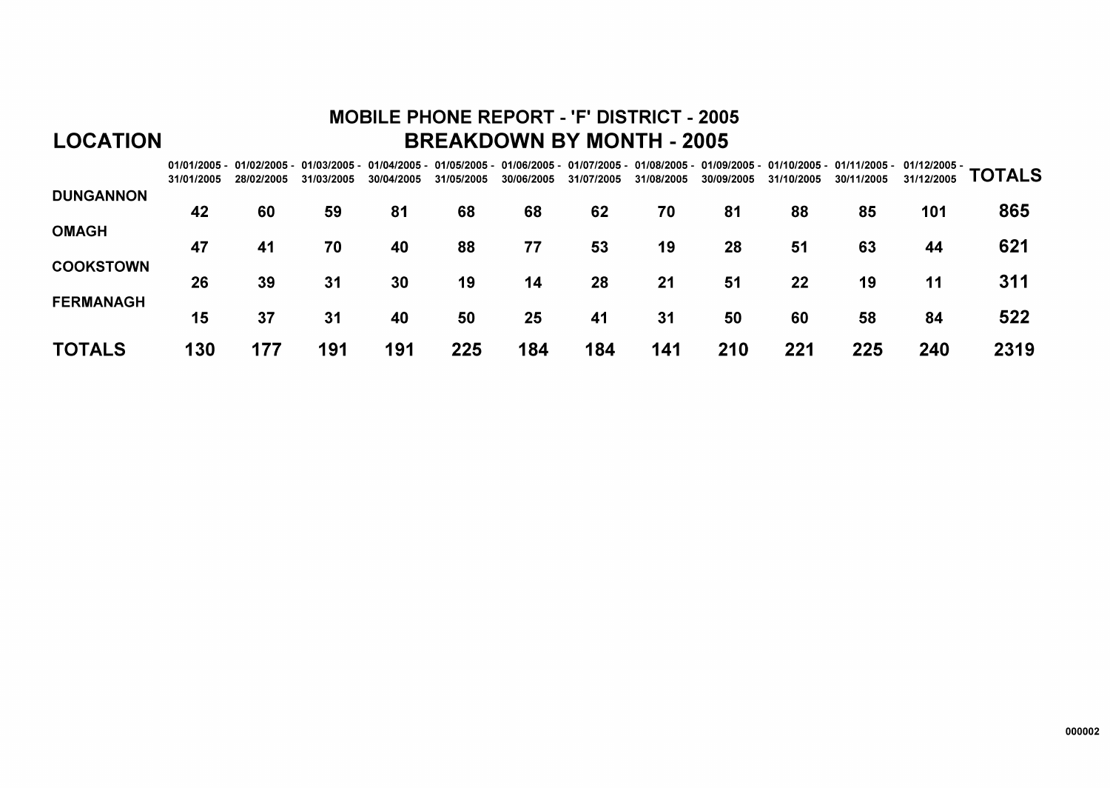# **MOBILE PHONE REPORT - 'F' DISTRICT - 2005 BREAKDOWN BY MONTH - 2005**

|                  | 31/01/2005 | 28/02/2005 | 31/03/2005 | 30/04/2005 | 31/05/2005 | 30/06/2005 | 31/07/2005 | 31/08/2005 | 30/09/2005 | 31/10/2005 | 01/01/2005 - 01/02/2005 - 01/03/2005 - 01/04/2005 - 01/05/2005 - 01/06/2005 - 01/07/2005 - 01/08/2005 - 01/09/2005 - 01/10/2005 - 01/11/2005 - 01/12/2005 -<br>30/11/2005 | 31/12/2005 | <b>TOTALS</b> |
|------------------|------------|------------|------------|------------|------------|------------|------------|------------|------------|------------|---------------------------------------------------------------------------------------------------------------------------------------------------------------------------|------------|---------------|
| <b>DUNGANNON</b> | 42         | 60         | 59         | 81         | 68         | 68         | 62         | 70         | 81         | 88         | 85                                                                                                                                                                        | 101        | 865           |
| <b>OMAGH</b>     | 47         | 41         | 70         | 40         | 88         | 77         | 53         | 19         | 28         | 51         | 63                                                                                                                                                                        | 44         | 621           |
| <b>COOKSTOWN</b> | 26         | 39         | 31         | 30         | 19         | 14         | 28         | 21         | 51         | 22         | 19                                                                                                                                                                        | 11         | 311           |
| <b>FERMANAGH</b> | 15         | 37         | 31         | 40         | 50         | 25         | 41         | 31         | 50         | 60         | 58                                                                                                                                                                        | 84         | 522           |
| <b>TOTALS</b>    | 130        | 177        | 191        | 191        | 225        | 184        | 184        | 141        | 210        | 221        | 225                                                                                                                                                                       | 240        | 2319          |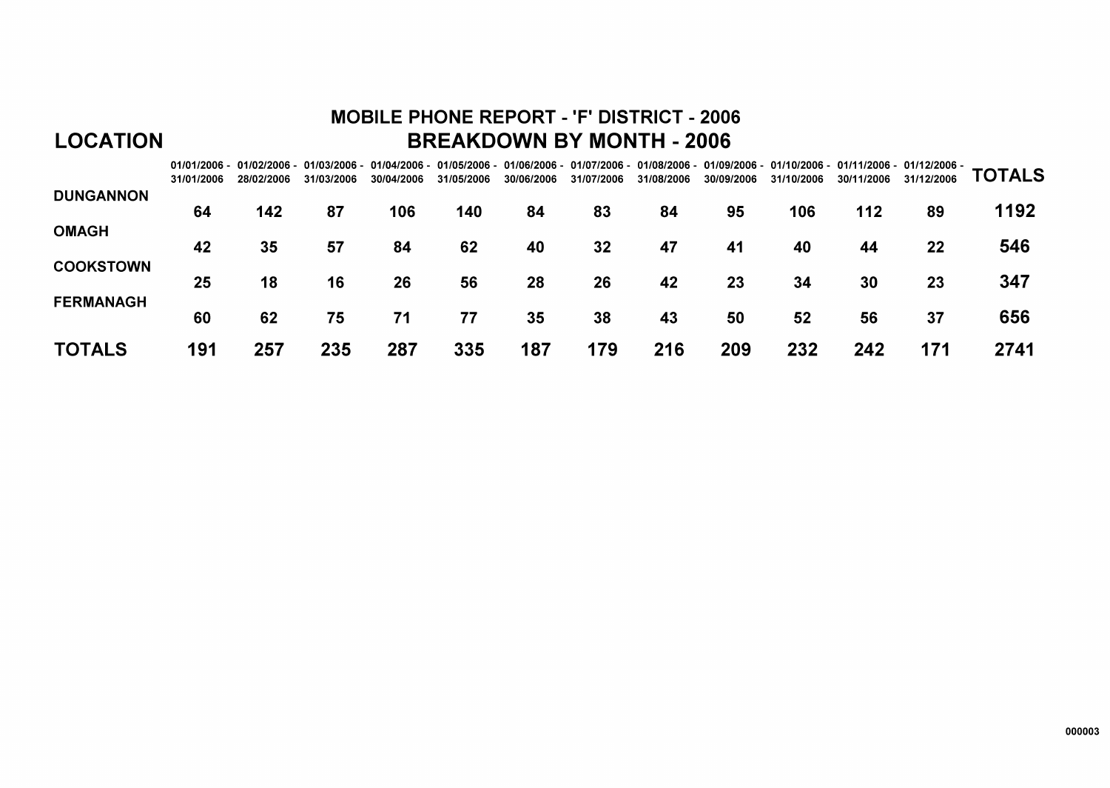# **MOBILE PHONE REPORT - 'F' DISTRICT - 2006 BREAKDOWN BY MONTH - 2006**

|                  | 31/01/2006 | 28/02/2006 | 31/03/2006 | 01/01/2006 - 01/02/2006 - 01/03/2006 - 01/04/2006 - 01/05/2006 - 01/06/2006 - 01/07/2006 - 01/08/2006 - 01/09/2006 - 01/10/2006 - 01/11/2006 - 01/12/2006 -<br>30/04/2006 | 31/05/2006 | 30/06/2006 | 31/07/2006 | 31/08/2006 | 30/09/2006 | 31/10/2006 | 30/11/2006 | 31/12/2006 | <b>TOTALS</b> |
|------------------|------------|------------|------------|---------------------------------------------------------------------------------------------------------------------------------------------------------------------------|------------|------------|------------|------------|------------|------------|------------|------------|---------------|
| <b>DUNGANNON</b> | 64         | 142        | 87         | 106                                                                                                                                                                       | 140        | 84         | 83         | 84         | 95         | 106        | 112        | 89         | 1192          |
| <b>OMAGH</b>     |            |            |            |                                                                                                                                                                           |            |            |            |            |            |            |            |            |               |
| <b>COOKSTOWN</b> | 42         | 35         | 57         | 84                                                                                                                                                                        | 62         | 40         | 32         | 47         | 41         | 40         | 44         | 22         | 546           |
|                  | 25         | 18         | 16         | 26                                                                                                                                                                        | 56         | 28         | 26         | 42         | 23         | 34         | 30         | 23         | 347           |
| <b>FERMANAGH</b> | 60         | 62         | 75         | 71                                                                                                                                                                        | 77         | 35         | 38         | 43         | 50         | 52         | 56         | 37         | 656           |
| <b>TOTALS</b>    | 191        | 257        | 235        | 287                                                                                                                                                                       | 335        | 187        | 179        | 216        | 209        | 232        | 242        | 171        | 2741          |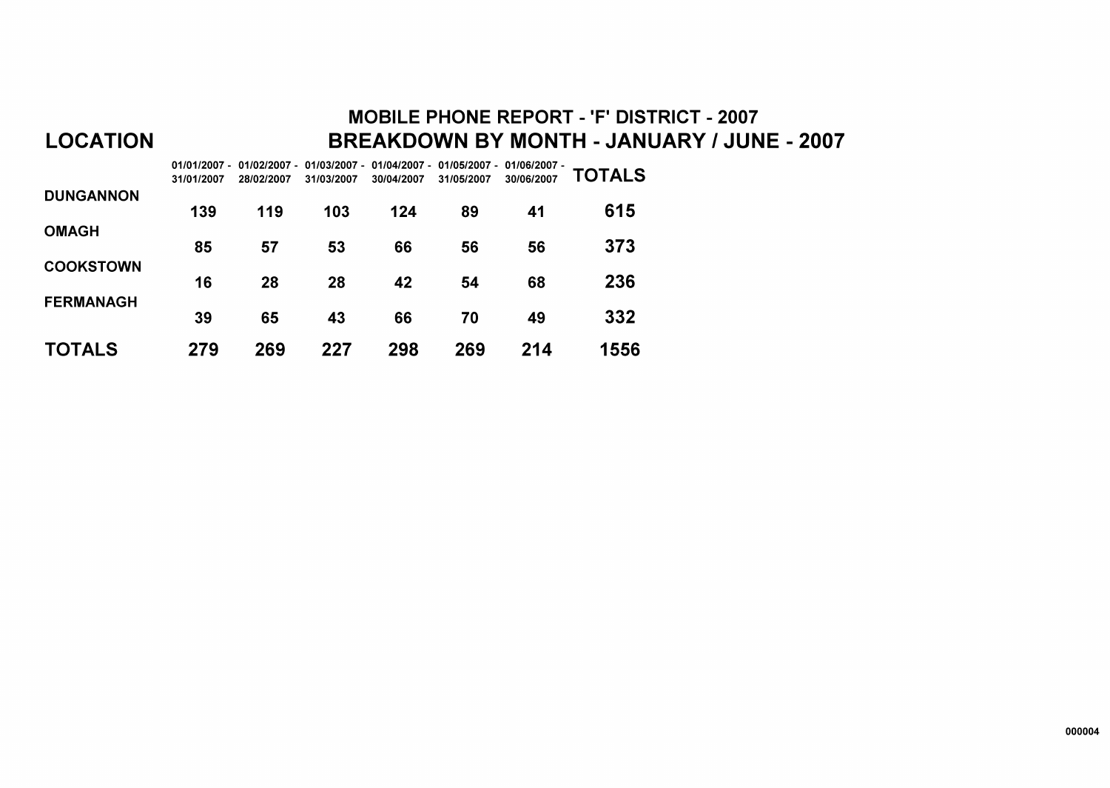### **MOBILE PHONE REPORT - 'F' DISTRICT - 2007** BREAKDOWN BY MONTH - JANUARY / JUNE - 2007

|                  | 01/01/2007 -<br>31/01/2007 | 28/02/2007 | 01/02/2007 - 01/03/2007 -<br>31/03/2007 | 01/04/2007 -<br>30/04/2007 | 01/05/2007 -<br>31/05/2007 | 01/06/2007 -<br>30/06/2007 | TOTALS |
|------------------|----------------------------|------------|-----------------------------------------|----------------------------|----------------------------|----------------------------|--------|
| <b>DUNGANNON</b> | 139                        | 119        | 103                                     | 124                        | 89                         | 41                         | 615    |
| <b>OMAGH</b>     |                            |            |                                         |                            |                            |                            |        |
|                  | 85                         | 57         | 53                                      | 66                         | 56                         | 56                         | 373    |
| <b>COOKSTOWN</b> | 16                         | 28         | 28                                      | 42                         | 54                         | 68                         | 236    |
| <b>FERMANAGH</b> | 39                         | 65         | 43                                      | 66                         | 70                         | 49                         | 332    |
| TOTALS           | 279                        | 269        | 227                                     | 298                        | 269                        | 214                        | 1556   |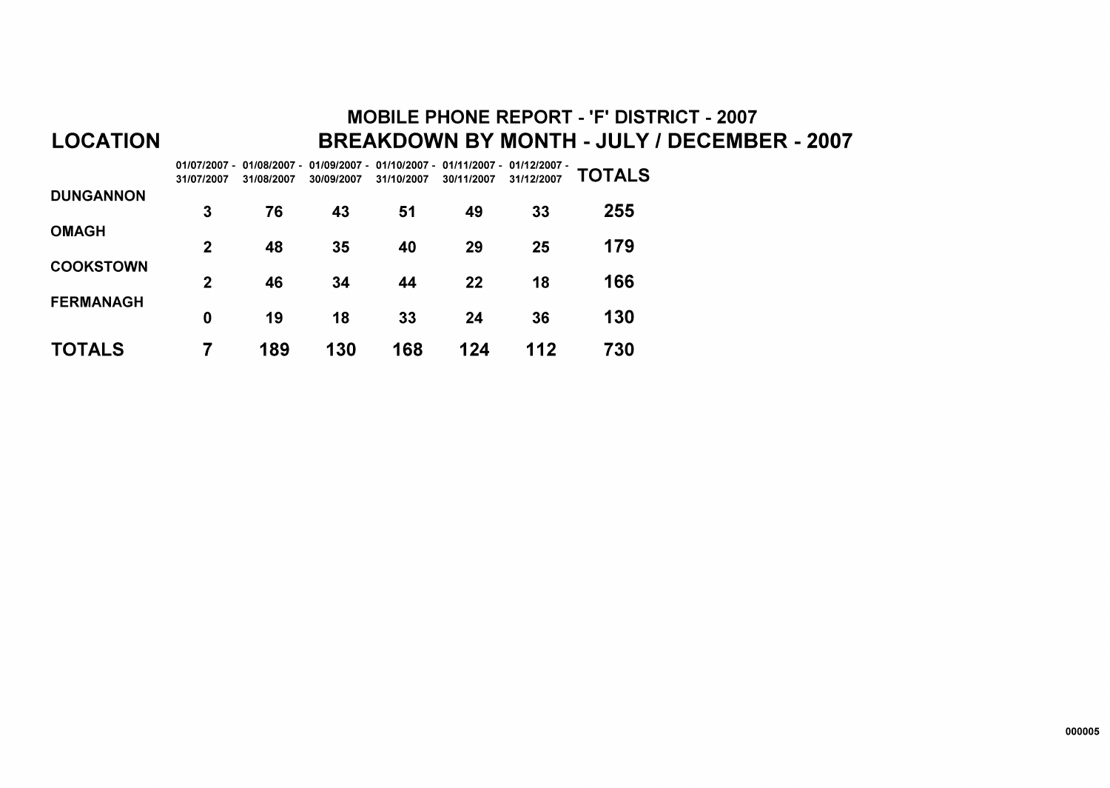# **MOBILE PHONE REPORT - 'F' DISTRICT - 2007** BREAKDOWN BY MONTH - JULY / DECEMBER - 2007

|                  | 31/07/2007     | 01/07/2007 - 01/08/2007 -<br>31/08/2007 | 01/09/2007 -<br>30/09/2007 | 01/10/2007 -<br>31/10/2007 | 01/11/2007 -<br>30/11/2007 | $01/12/2007 -$<br>31/12/2007 | <b>TOTALS</b> |
|------------------|----------------|-----------------------------------------|----------------------------|----------------------------|----------------------------|------------------------------|---------------|
| <b>DUNGANNON</b> | 3              | 76                                      | 43                         | 51                         | 49                         | 33                           | 255           |
| <b>OMAGH</b>     | $\mathbf{2}$   | 48                                      | 35                         | 40                         | 29                         | 25                           | 179           |
| <b>COOKSTOWN</b> | $\overline{2}$ | 46                                      | 34                         | 44                         | 22                         | 18                           | 166           |
| <b>FERMANAGH</b> | 0              | 19                                      | 18                         | 33                         | 24                         | 36                           | 130           |
| TOTALS           | 7              | 189                                     | 130                        | 168                        | 124                        | 112                          | 730           |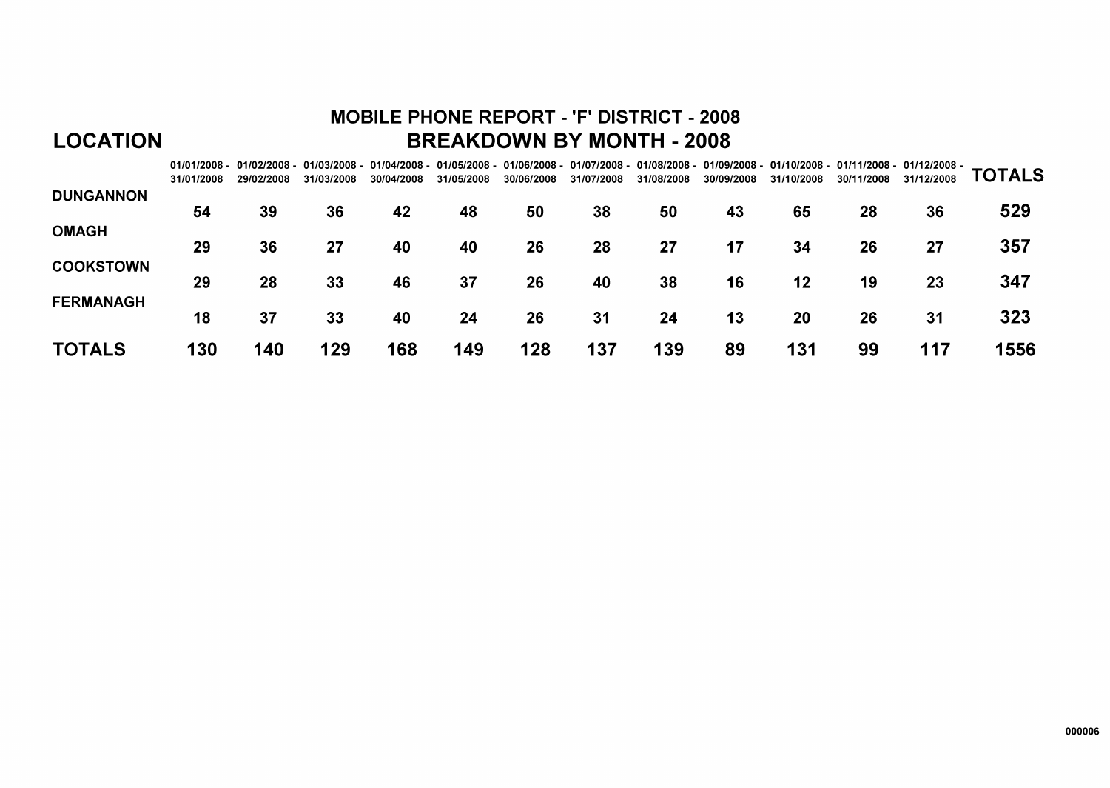# **MOBILE PHONE REPORT - 'F' DISTRICT - 2008 BREAKDOWN BY MONTH - 2008**

|                  | 31/01/2008 | 29/02/2008 | 31/03/2008 | 30/04/2008 | 31/05/2008 | 30/06/2008 | 31/07/2008 | 31/08/2008 | 01/01/2008 - 01/02/2008 - 01/03/2008 - 01/04/2008 - 01/05/2008 - 01/06/2008 - 01/07/2008 - 01/08/2008 - 01/09/2008 - 01/10/2008 - 01/11/2008 - 01/12/2008 -<br>30/09/2008 | 31/10/2008 | 30/11/2008 | 31/12/2008 | <b>TOTALS</b> |
|------------------|------------|------------|------------|------------|------------|------------|------------|------------|---------------------------------------------------------------------------------------------------------------------------------------------------------------------------|------------|------------|------------|---------------|
| <b>DUNGANNON</b> | 54         | 39         | 36         | 42         | 48         | 50         | 38         | 50         | 43                                                                                                                                                                        | 65         | 28         | 36         | 529           |
| <b>OMAGH</b>     | 29         | 36         | 27         | 40         | 40         | 26         | 28         | 27         | 17                                                                                                                                                                        | 34         | 26         | 27         | 357           |
| <b>COOKSTOWN</b> |            |            |            |            |            |            |            |            |                                                                                                                                                                           |            |            |            |               |
| <b>FERMANAGH</b> | 29         | 28         | 33         | 46         | 37         | 26         | 40         | 38         | 16                                                                                                                                                                        | 12         | 19         | 23         | 347           |
|                  | 18         | 37         | 33         | 40         | 24         | 26         | 31         | 24         | 13                                                                                                                                                                        | 20         | 26         | 31         | 323           |
| <b>TOTALS</b>    | 130        | 140        | 129        | 168        | 149        | 128        | 137        | 139        | 89                                                                                                                                                                        | 131        | 99         | 117        | 1556          |